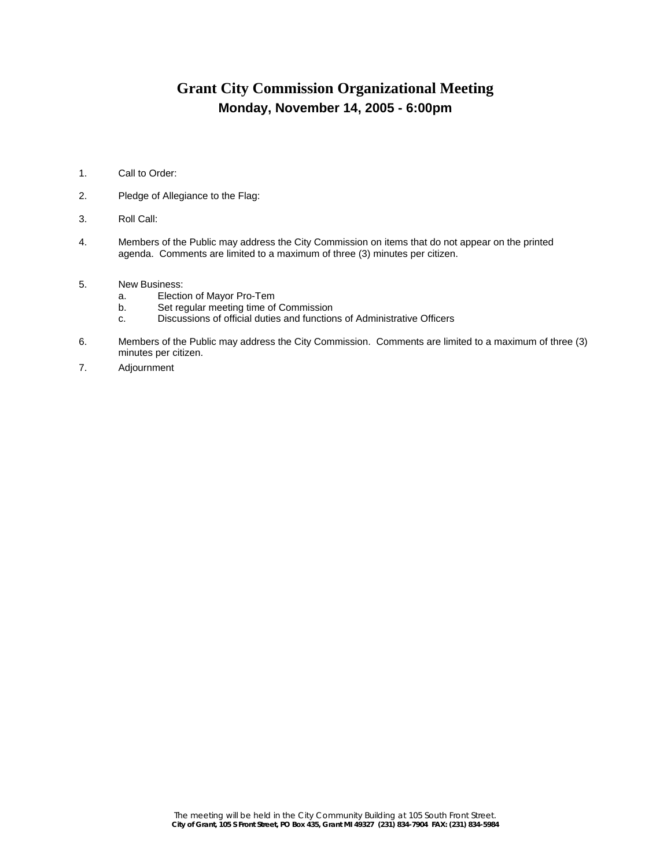## **Grant City Commission Organizational Meeting Monday, November 14, 2005 - 6:00pm**

- 1. Call to Order:
- 2. Pledge of Allegiance to the Flag:
- 3. Roll Call:
- 4. Members of the Public may address the City Commission on items that do not appear on the printed agenda. Comments are limited to a maximum of three (3) minutes per citizen.
- 5. New Business:<br>a. Electic
	- a. Election of Mayor Pro-Tem<br>b. Set regular meeting time of
	- b. Set regular meeting time of Commission<br>c. Discussions of official duties and function
	- Discussions of official duties and functions of Administrative Officers
- 6. Members of the Public may address the City Commission. Comments are limited to a maximum of three (3) minutes per citizen.
- 7. Adjournment